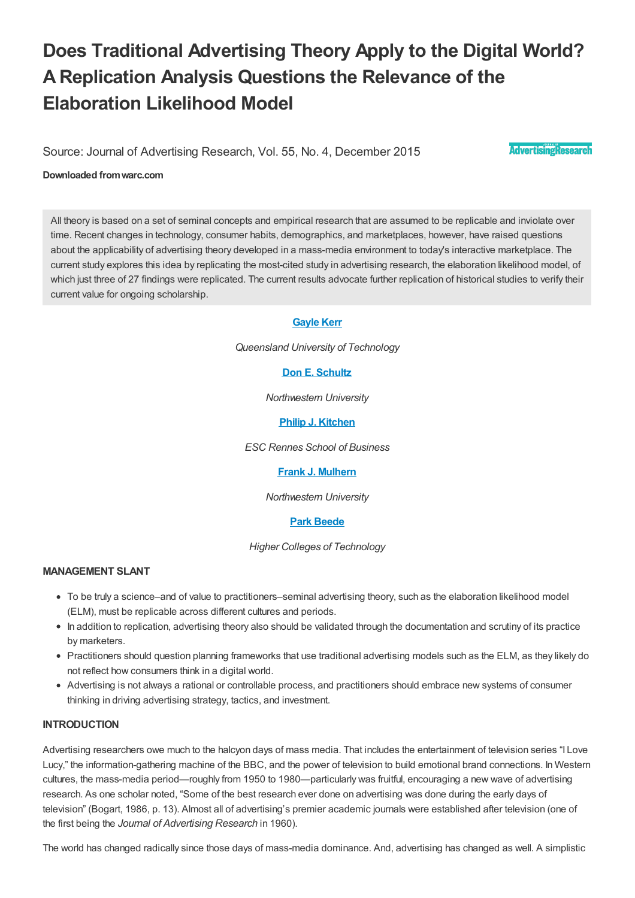# **Does Traditional Advertising Theory Apply to the Digital World? AReplication Analysis Questions the Relevance of the Elaboration Likelihood Model**

Source: Journal of Advertising Research, Vol. 55, No. 4, December 2015

**AdvertisingResearch** 

#### **Downloaded fromwarc.com**

All theory is based on a set of seminal concepts and empirical research that are assumed to be replicable and inviolate over time. Recent changes in technology, consumer habits, demographics, and marketplaces, however, have raised questions about the applicability of advertising theory developed in a mass-media environment to today's interactive marketplace. The current study explores this idea by replicating the most-cited study in advertising research, the elaboration likelihood model, of which just three of 27 findings were replicated. The current results advocate further replication of historical studies to verify their current value for ongoing scholarship.

#### **[Gayle](#page-11-0) Kerr**

*Queensland University of Technology*

# **Don E. [Schultz](#page-11-1)**

*Northwestern University*

**Philip J. [Kitchen](#page-11-2)**

*ESC Rennes School of Business*

#### **Frank J. [Mulhern](#page-11-3)**

*Northwestern University*

#### **Park [Beede](#page-11-4)**

*Higher Colleges of Technology*

## **MANAGEMENT SLANT**

- To be truly a science–and of value to practitioners–seminal advertising theory, such as the elaboration likelihood model (ELM), must be replicable across different cultures and periods.
- In addition to replication, advertising theory also should be validated through the documentation and scrutiny of its practice by marketers.
- Practitioners should question planning frameworks that use traditional advertising models such as the ELM, as they likely do not reflect how consumers think in a digital world.
- Advertising is not always a rational or controllable process, and practitioners should embrace new systems of consumer thinking in driving advertising strategy, tactics, and investment.

## **INTRODUCTION**

Advertising researchers owe much to the halcyon days of mass media. That includes the entertainment of television series "I Love Lucy," the information-gathering machine of the BBC, and the power of television to build emotional brand connections. In Western cultures, the mass-media period—roughly from 1950 to 1980—particularly was fruitful, encouraging a new wave of advertising research. As one scholar noted, "Some of the best research ever done on advertising was done during the early days of television" (Bogart, 1986, p. 13). Almost all of advertising's premier academic journals were established after television (one of the first being the *Journal of Advertising Research* in 1960).

The world has changed radically since those days of mass-media dominance. And, advertising has changed as well. A simplistic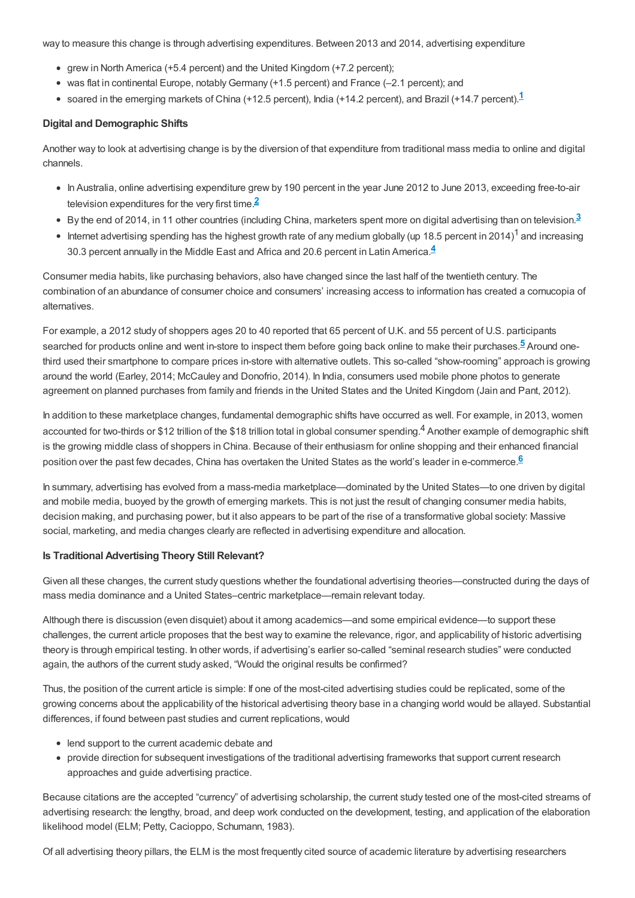way to measure this change is through advertising expenditures. Between 2013 and 2014, advertising expenditure

- grew in North America (+5.4 percent) and the United Kingdom (+7.2 percent);
- <span id="page-1-0"></span>• was flat in continental Europe, notably Germany (+1.5 percent) and France (-2.1 percent); and
- soared in the emerging markets of China (+[1](#page-12-0)2.5 percent), India (+14.2 percent), and Brazil (+14.7 percent). $1$

## **Digital and Demographic Shifts**

Another way to look at advertising change is by the diversion of that expenditure from traditional mass media to online and digital channels.

- <span id="page-1-2"></span><span id="page-1-1"></span>• In Australia, online advertising expenditure grew by 190 percent in the year June 2012 to June 2013, exceeding free-to-air television expenditures for the very first time.**[2](#page-12-1)**
- By the end of 2014, in 11 other countries (including China, marketers spent more on digital advertising than on television.**[3](#page-12-2)**
- <span id="page-1-4"></span><span id="page-1-3"></span> $\bullet$  Internet advertising spending has the highest growth rate of any medium globally (up 18.5 percent in 2014)<sup>1</sup> and increasing 30.3 percent annually in the Middle East and Africa and 20.6 percent in Latin America.**[4](#page-12-3)**

Consumer media habits, like purchasing behaviors, also have changed since the last half of the twentieth century. The combination of an abundance of consumer choice and consumers' increasing access to information has created a cornucopia of alternatives.

For example, a 2012 study of shoppers ages 20 to 40 reported that 65 percent of U.K. and 55 percent of U.S. participants searched for products online and went in-store to inspect them before going back online to make their purchases.**[5](#page-12-4)** Around onethird used their smartphone to compare prices in-store with alternative outlets. This so-called "show-rooming" approach is growing around the world (Earley, 2014; McCauley and Donofrio, 2014). In India, consumers used mobile phone photos to generate agreement on planned purchases from family and friends in the United States and the United Kingdom (Jain and Pant, 2012).

In addition to these marketplace changes, fundamental demographic shifts have occurred as well. For example, in 2013, women accounted for two-thirds or \$12 trillion of the \$18 trillion total in global consumer spending.<sup>4</sup> Another example of demographic shift is the growing middle class of shoppers in China. Because of their enthusiasm for online shopping and their enhanced financial position over the past few decades, China has overtaken the United States as the world's leader in e-commerce.**[6](#page-12-5)**

<span id="page-1-5"></span>In summary, advertising has evolved from a mass-media marketplace—dominated by the United States—to one driven by digital and mobile media, buoyed by the growth of emerging markets. This is not just the result of changing consumer media habits, decision making, and purchasing power, but it also appears to be part of the rise of a transformative global society: Massive social, marketing, and media changes clearly are reflected in advertising expenditure and allocation.

#### **Is Traditional Advertising Theory Still Relevant?**

Given all these changes, the current study questions whether the foundational advertising theories—constructed during the days of mass media dominance and a United States–centric marketplace—remain relevant today.

Although there is discussion (even disquiet) about it among academics—and some empirical evidence—to support these challenges, the current article proposes that the best way to examine the relevance, rigor, and applicability of historic advertising theory is through empirical testing. In other words, if advertising's earlier so-called "seminal research studies" were conducted again, the authors of the current study asked, "Would the original results be confirmed?

Thus, the position of the current article is simple: If one of the most-cited advertising studies could be replicated, some of the growing concerns about the applicability of the historical advertising theory base in a changing world would be allayed. Substantial differences, if found between past studies and current replications, would

- lend support to the current academic debate and
- provide direction for subsequent investigations of the traditional advertising frameworks that support current research approaches and guide advertising practice.

Because citations are the accepted "currency" of advertising scholarship, the current study tested one of the most-cited streams of advertising research: the lengthy, broad, and deep work conducted on the development, testing, and application of the elaboration likelihood model (ELM; Petty, Cacioppo, Schumann, 1983).

Of all advertising theory pillars, the ELM is the most frequently cited source of academic literature by advertising researchers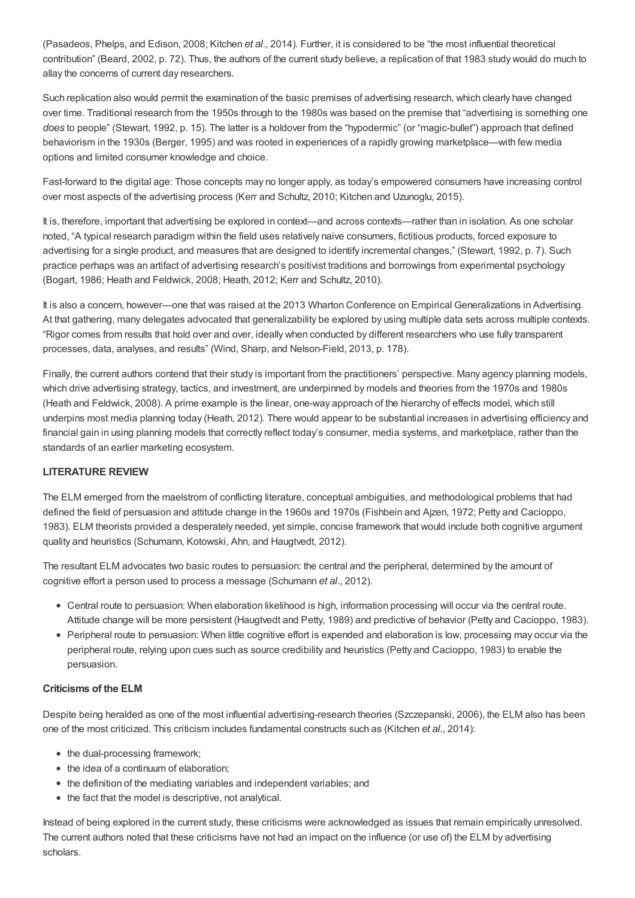(Pasadeos, Phelps, and Edison, 2008; Kitchen *et al.*, 2014). Further, it is considered to be "the most influential theoretical contribution" (Beard, 2002, p. 72). Thus, the authors of the current study believe, a replication of that 1983 study would do much to allay the concerns of current day researchers.

Such replication also would permit the examination of the basic premises of advertising research, which clearly have changed over time. Traditional research from the 1950s through to the 1980s was based on the premise that "advertising is something one *does* to people" (Stewart, 1992, p. 15). The latter is a holdover from the "hypodermic" (or "magic-bullet") approach that defined behaviorism in the 1930s (Berger, 1995) and was rooted in experiences of a rapidly growing marketplace—with few media options and limited consumer knowledge and choice.

Fast-forward to the digital age: Those concepts may no longer apply, as today's empowered consumers have increasing control over most aspects of the advertising process (Kerr and Schultz, 2010; Kitchen and Uzunoglu, 2015).

It is, therefore, important that advertising be explored in context—and across contexts—rather than in isolation. As one scholar noted, "A typical research paradigm within the field uses relatively naive consumers, fictitious products, forced exposure to advertising for a single product, and measures that are designed to identify incremental changes," (Stewart, 1992, p. 7). Such practice perhaps was an artifact of advertising research's positivist traditions and borrowings from experimental psychology (Bogart, 1986; Heath and Feldwick, 2008; Heath, 2012; Kerr and Schultz, 2010).

It is also a concern, however—one that was raised at the 2013 Wharton Conference on Empirical Generalizations in Advertising. At that gathering, many delegates advocated that generalizability be explored by using multiple data sets across multiple contexts. "Rigor comes from results that hold over and over, ideally when conducted by different researchers who use fully transparent processes, data, analyses, and results" (Wind, Sharp, and Nelson-Field, 2013, p. 178).

Finally, the current authors contend that their study is important from the practitioners' perspective. Many agency planning models, which drive advertising strategy, tactics, and investment, are underpinned by models and theories from the 1970s and 1980s (Heath and Feldwick, 2008). A prime example is the linear, one-way approach of the hierarchy of effects model, which still underpins most media planning today (Heath, 2012). There would appear to be substantial increases in advertising efficiency and financial gain in using planning models that correctly reflect today's consumer, media systems, and marketplace, rather than the standards of an earlier marketing ecosystem.

# **LITERATURE REVIEW**

The ELM emerged from the maelstrom of conflicting literature, conceptual ambiguities, and methodological problems that had defined the field of persuasion and attitude change in the 1960s and 1970s (Fishbein and Ajzen, 1972; Petty and Cacioppo, 1983). ELM theorists provided a desperately needed, yet simple, concise framework that would include both cognitive argument quality and heuristics (Schumann, Kotowski, Ahn, and Haugtvedt, 2012).

The resultant ELM advocates two basic routes to persuasion: the central and the peripheral, determined by the amount of cognitive effort a person used to process a message (Schumann *et al.*, 2012).

- Central route to persuasion: When elaboration likelihood is high, information processing will occur via the central route. Attitude change will be more persistent (Haugtvedt and Petty, 1989) and predictive of behavior (Petty and Cacioppo, 1983).
- Peripheral route to persuasion: When little cognitive effort is expended and elaboration is low, processing may occur via the peripheral route, relying upon cues such as source credibility and heuristics (Petty and Cacioppo, 1983) to enable the persuasion.

#### **Criticisms of the ELM**

Despite being heralded as one of the most influential advertising-research theories (Szczepanski, 2006), the ELM also has been one of the most criticized. This criticism includes fundamental constructs such as (Kitchen *et al.*, 2014):

- the dual-processing framework;
- the idea of a continuum of elaboration:
- the definition of the mediating variables and independent variables; and
- $\bullet$  the fact that the model is descriptive, not analytical.

Instead of being explored in the current study, these criticisms were acknowledged as issues that remain empirically unresolved. The current authors noted that these criticisms have not had an impact on the influence (or use of) the ELM by advertising scholars.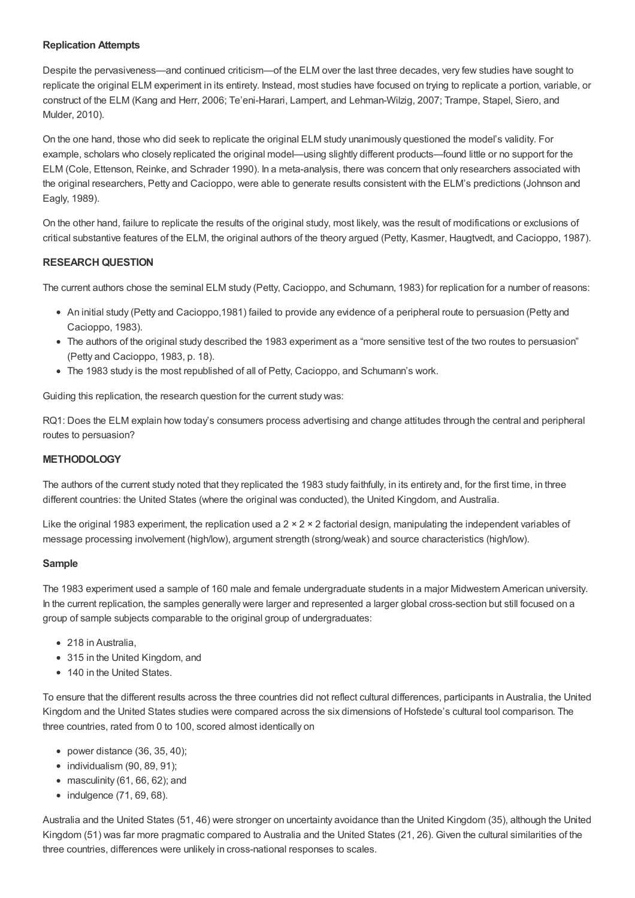# **Replication Attempts**

Despite the pervasiveness—and continued criticism—of the ELM over the last three decades, very few studies have sought to replicate the original ELM experiment in its entirety. Instead, most studies have focused on trying to replicate a portion, variable, or construct of the ELM (Kang and Herr, 2006; Te'eni-Harari, Lampert, and Lehman-Wilzig, 2007; Trampe, Stapel, Siero, and Mulder, 2010).

On the one hand, those who did seek to replicate the original ELM study unanimously questioned the model's validity. For example, scholars who closely replicated the original model—using slightly different products—found little or no support for the ELM (Cole, Ettenson, Reinke, and Schrader 1990). In a meta-analysis, there was concern that only researchers associated with the original researchers, Petty and Cacioppo, were able to generate results consistent with the ELM's predictions (Johnson and Eagly, 1989).

On the other hand, failure to replicate the results of the original study, most likely, was the result of modifications or exclusions of critical substantive features of the ELM, the original authors of the theory argued (Petty, Kasmer, Haugtvedt, and Cacioppo, 1987).

# **RESEARCH QUESTION**

The current authors chose the seminal ELM study (Petty, Cacioppo, and Schumann, 1983) for replication for a number of reasons:

- An initial study (Petty and Cacioppo,1981) failed to provide any evidence of a peripheral route to persuasion (Petty and Cacioppo, 1983).
- The authors of the original study described the 1983 experiment as a "more sensitive test of the two routes to persuasion" (Petty and Cacioppo, 1983, p. 18).
- The 1983 study is the most republished of all of Petty, Cacioppo, and Schumann's work.

Guiding this replication, the research question for the current study was:

RQ1: Does the ELM explain how today's consumers process advertising and change attitudes through the central and peripheral routes to persuasion?

# **METHODOLOGY**

The authors of the current study noted that they replicated the 1983 study faithfully, in its entirety and, for the first time, in three different countries: the United States (where the original was conducted), the United Kingdom, and Australia.

Like the original 1983 experiment, the replication used a  $2 \times 2 \times 2$  factorial design, manipulating the independent variables of message processing involvement (high/low), argument strength (strong/weak) and source characteristics (high/low).

# **Sample**

The 1983 experiment used a sample of 160 male and female undergraduate students in a major Midwestern American university. In the current replication, the samples generally were larger and represented a larger global cross-section but still focused on a group of sample subjects comparable to the original group of undergraduates:

- 218 in Australia,
- 315 in the United Kingdom, and
- 140 in the United States.

To ensure that the different results across the three countries did not reflect cultural differences, participants in Australia, the United Kingdom and the United States studies were compared across the six dimensions of Hofstede's cultural tool comparison. The three countries, rated from 0 to 100, scored almost identically on

- power distance  $(36, 35, 40)$ ;
- $\bullet$  individualism (90, 89, 91);
- $\bullet$  masculinity (61, 66, 62); and
- $\bullet$  indulgence (71, 69, 68).

Australia and the United States (51, 46) were stronger on uncertainty avoidance than the United Kingdom (35), although the United Kingdom (51) was far more pragmatic compared to Australia and the United States (21, 26). Given the cultural similarities of the three countries, differences were unlikely in cross-national responses to scales.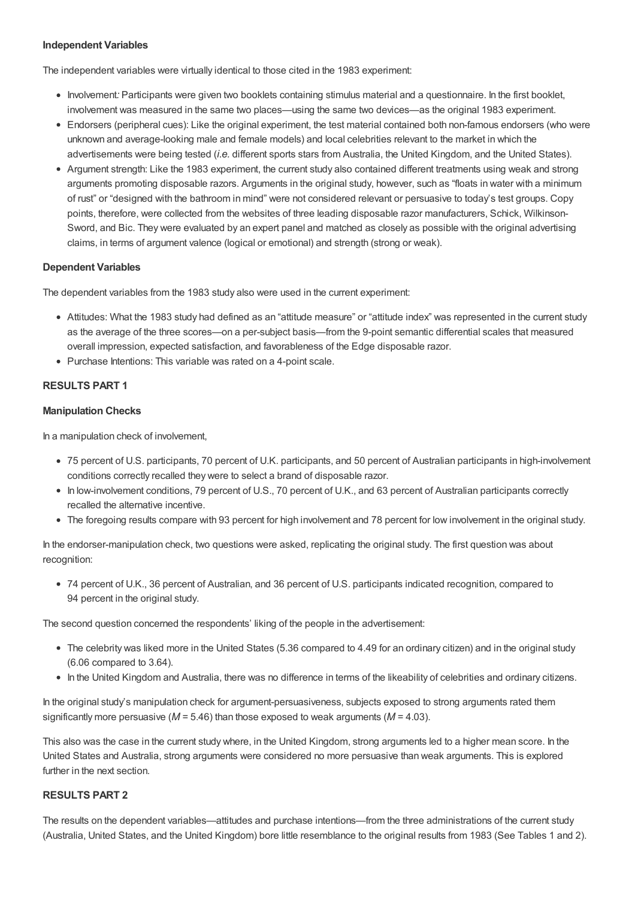## **Independent Variables**

The independent variables were virtually identical to those cited in the 1983 experiment:

- Involvement: Participants were given two booklets containing stimulus material and a questionnaire. In the first booklet, involvement was measured in the same two places—using the same two devices—as the original 1983 experiment.
- Endorsers (peripheral cues): Like the original experiment, the test material contained both non-famous endorsers (who were unknown and average-looking male and female models) and local celebrities relevant to the market in which the advertisements were being tested (*i.e.* different sports stars from Australia, the United Kingdom, and the United States).
- Argument strength: Like the 1983 experiment, the current study also contained different treatments using weak and strong arguments promoting disposable razors. Arguments in the original study, however, such as "floats in water with a minimum of rust" or "designed with the bathroom in mind" were not considered relevant or persuasive to today's test groups. Copy points, therefore, were collected from the websites of three leading disposable razor manufacturers, Schick, Wilkinson-Sword, and Bic. They were evaluated by an expert panel and matched as closely as possible with the original advertising claims, in terms of argument valence (logical or emotional) and strength (strong or weak).

#### **Dependent Variables**

The dependent variables from the 1983 study also were used in the current experiment:

- Attitudes: What the 1983 study had defined as an "attitude measure" or "attitude index" was represented in the current study as the average of the three scores—on a per-subject basis—from the 9-point semantic differential scales that measured overall impression, expected satisfaction, and favorableness of the Edge disposable razor.
- Purchase Intentions: This variable was rated on a 4-point scale.

# **RESULTS PART 1**

#### **Manipulation Checks**

In a manipulation check of involvement,

- 75 percent of U.S. participants, 70 percent of U.K. participants, and 50 percent of Australian participants in high-involvement conditions correctly recalled they were to select a brand of disposable razor.
- In low-involvement conditions, 79 percent of U.S., 70 percent of U.K., and 63 percent of Australian participants correctly recalled the alternative incentive.
- The foregoing results compare with 93 percent for high involvement and 78 percent for low involvement in the original study.

In the endorser-manipulation check, two questions were asked, replicating the original study. The first question was about recognition:

74 percent of U.K., 36 percent of Australian, and 36 percent of U.S. participants indicated recognition, compared to 94 percent in the original study.

The second question concerned the respondents' liking of the people in the advertisement:

- The celebrity was liked more in the United States (5.36 compared to 4.49 for an ordinary citizen) and in the original study (6.06 compared to 3.64).
- In the United Kingdom and Australia, there was no difference in terms of the likeability of celebrities and ordinary citizens.

In the original study's manipulation check for argument-persuasiveness, subjects exposed to strong arguments rated them significantly more persuasive (*M* = 5.46) than those exposed to weak arguments (*M* = 4.03).

This also was the case in the current study where, in the United Kingdom, strong arguments led to a higher mean score. In the United States and Australia, strong arguments were considered no more persuasive than weak arguments. This is explored further in the next section.

#### **RESULTS PART 2**

The results on the dependent variables—attitudes and purchase intentions—from the three administrations of the current study (Australia, United States, and the United Kingdom) bore little resemblance to the original results from 1983 (See Tables 1 and 2).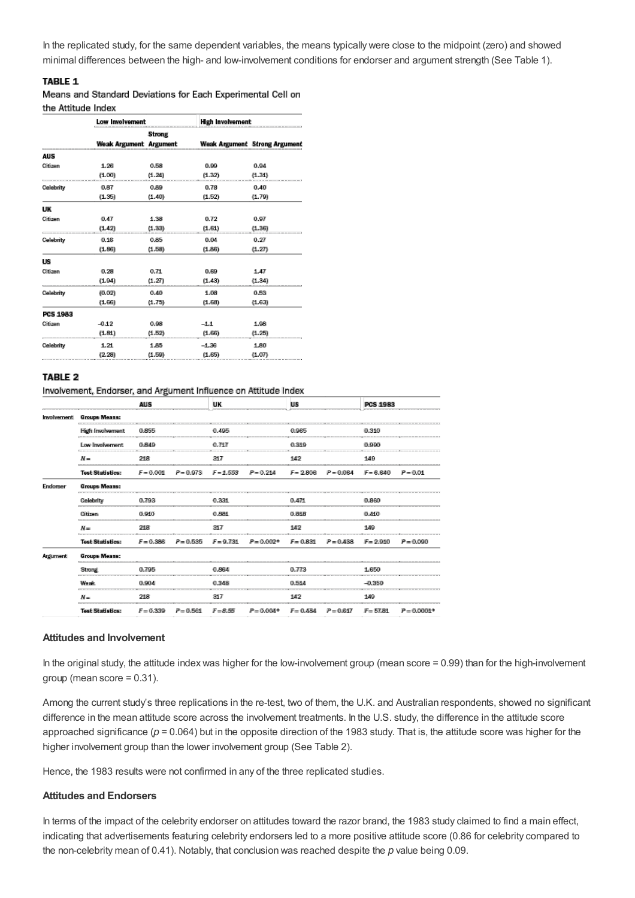In the replicated study, for the same dependent variables, the means typically were close to the midpoint (zero) and showed minimal differences between the high- and low-involvement conditions for endorser and argument strength (See Table 1).

# TABLE 1

Means and Standard Deviations for Each Experimental Cell on the Attitude Index

|                 | Low Involvement        |               | <b>High Involvement</b> |                               |  |  |
|-----------------|------------------------|---------------|-------------------------|-------------------------------|--|--|
|                 |                        | <b>Strong</b> |                         |                               |  |  |
|                 | Weak Argument Argument |               |                         | Weak Argument Strong Argument |  |  |
| AUS             |                        |               |                         |                               |  |  |
| Citizen         | 1.26                   | 0.58          | 0.99                    | 0.94                          |  |  |
|                 | (1.00)                 | (1.24)        | (1.32)                  | (1.31)                        |  |  |
| Celebrity       | 0.87                   | 0.89          | 0.78                    | 0.40                          |  |  |
|                 | (1.35)                 | (1.40)        | (1.52)                  | (1.79)                        |  |  |
| UК              |                        |               |                         |                               |  |  |
| Citizen         | 0.47                   | 1.38          | 0.72                    | 0.97                          |  |  |
|                 | (1.42)                 | (1.33)        | (1.61)                  | (1.36)                        |  |  |
| Celebrity       | 0.16                   | 0.85          | 0.04                    | 0.27                          |  |  |
|                 | (1.86)                 | (1.58)        | (1.86)                  | (1.27)                        |  |  |
| <b>US</b>       |                        |               |                         |                               |  |  |
| Citizen         | 0.28                   | 0.71          | 0.69                    | 1.47                          |  |  |
|                 | (1.94)                 | (1.27)        | (1.43)                  | (1.34)                        |  |  |
| Celebrity       | (0.02)                 | 0.40          | 1.08                    | 0.53                          |  |  |
|                 | (1.66)                 | (1.75)        | (1.68)                  | (1.63)                        |  |  |
| <b>PCS 1983</b> |                        |               |                         |                               |  |  |
| Citizen         | $-0.12$                | 0.98          | $-1.1$                  | 1.98                          |  |  |
|                 | (1.81)                 | (1.52)        | (1.66)                  | (1.25)                        |  |  |
| Celebrity       | 1.21                   | 1.85          | $-1.36$                 | 1.80                          |  |  |
|                 | (2.28)                 | (1.59)        | (1.65)                  | (1.07)                        |  |  |

#### **TABLE 2**

Involvement, Endorser, and Argument Influence on Attitude Index

|              |                                             | <b>AUS</b>  |             | <b>UK</b>   |              | <b>US</b>   |             | <b>PCS 1983</b> |               |
|--------------|---------------------------------------------|-------------|-------------|-------------|--------------|-------------|-------------|-----------------|---------------|
| Involvement. | <b>Groups Means:</b>                        |             |             |             |              |             |             |                 |               |
|              | <b>High Involvement</b>                     | 0.855       |             | 0.495       |              | 0.965       |             | 0.310           |               |
|              | Low Involvement.                            | 0.849       |             | 0.717       |              | 0.319       |             | 0.990           |               |
|              | $M =$                                       | 218         |             | 317         |              | 142         |             | 149             |               |
|              | <b>Test Statistics:</b>                     | $F = 0.001$ | $P = 0.973$ | $F = 1.553$ | $P = 0.214$  | $F = 2.806$ | $P = 0.064$ | $F = 6,640$     | $P = 0.01$    |
| Endorser     | <b>Groups Means:</b>                        |             |             |             |              |             |             |                 |               |
|              | Celebrity<br><b>George House 10 100 100</b> | 0.793       |             | 0.331       |              | 0.471       |             | 0.860           |               |
|              | Citizen                                     | 0.910       |             | 0.881       |              | 0.818       |             | 0.410           |               |
|              | $M =$                                       | 218         |             | 317         |              | 142         |             | 149             |               |
|              | <b>Test Statistics:</b>                     | $F = 0.386$ | $P = 0.535$ | $F = 9.731$ | $P = 0.002*$ | $F = 0.831$ | $P = 0.438$ | $F = 2.910$     | $P = 0.090$   |
| Argument.    | <b>Groups Means:</b>                        |             |             |             |              |             |             |                 |               |
|              | Strong                                      | 0.795       |             | 0.864       |              | 0.773       |             | 1.650           |               |
|              | <b>Weak</b>                                 | 0.904       |             | 0.348       |              | 0.514       |             | $-0.350$        |               |
|              | $N =$                                       | 218         |             | 317         |              | 142         |             | 149             |               |
|              | <b>Test Statistics:</b>                     | $F = 0.339$ | $P = 0.561$ | $F = 8.55$  | $P = 0.004*$ | $F = 0.484$ | $P = 0.617$ | $F = 57.81$     | $P = 0.0001*$ |

#### **Attitudes and Involvement**

In the original study, the attitude index was higher for the low-involvement group (mean score = 0.99) than for the high-involvement group (mean score = 0.31).

Among the current study's three replications in the re-test, two of them, the U.K. and Australian respondents, showed no significant difference in the mean attitude score across the involvement treatments. In the U.S. study, the difference in the attitude score approached significance ( $p = 0.064$ ) but in the opposite direction of the 1983 study. That is, the attitude score was higher for the higher involvement group than the lower involvement group (See Table 2).

Hence, the 1983 results were not confirmed in any of the three replicated studies.

#### **Attitudes and Endorsers**

In terms of the impact of the celebrity endorser on attitudes toward the razor brand, the 1983 study claimed to find a main effect, indicating that advertisements featuring celebrity endorsers led to a more positive attitude score (0.86 for celebrity compared to the non-celebrity mean of 0.41). Notably, that conclusion was reached despite the *p* value being 0.09.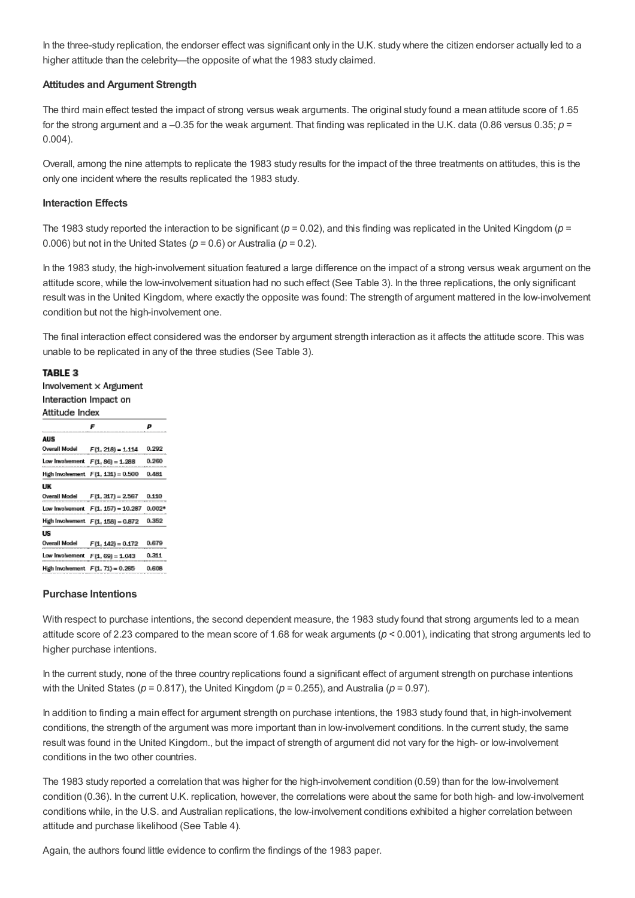In the three-study replication, the endorser effect was significant only in the U.K. study where the citizen endorser actually led to a higher attitude than the celebrity—the opposite of what the 1983 study claimed.

#### **Attitudes and Argument Strength**

The third main effect tested the impact of strong versus weak arguments. The original study found a mean attitude score of 1.65 for the strong argument and a –0.35 for the weak argument. That finding was replicated in the U.K. data (0.86 versus 0.35; *p* = 0.004).

Overall, among the nine attempts to replicate the 1983 study results for the impact of the three treatments on attitudes, this is the only one incident where the results replicated the 1983 study.

#### **Interaction Effects**

The 1983 study reported the interaction to be significant ( $p = 0.02$ ), and this finding was replicated in the United Kingdom ( $p =$ 0.006) but not in the United States ( $p = 0.6$ ) or Australia ( $p = 0.2$ ).

In the 1983 study, the high-involvement situation featured a large difference on the impact of a strong versus weak argument on the attitude score, while the low-involvement situation had no such effect (See Table 3). In the three replications, the only significant result was in the United Kingdom, where exactly the opposite was found: The strength of argument mattered in the low-involvement condition but not the high-involvement one.

The final interaction effect considered was the endorser by argument strength interaction as it affects the attitude score. This was unable to be replicated in any of the three studies (See Table 3).

#### TABLE 3

Involvement x Argument Interaction Impact on Attitude Index

| นนานนาง แนงห                         |                                    |  |  |  |
|--------------------------------------|------------------------------------|--|--|--|
|                                      |                                    |  |  |  |
|                                      |                                    |  |  |  |
| Overall Model F(1, 218) = 1.114      | 0.992                              |  |  |  |
| Low Involvement $F(1, 86) = 1.288$   | 0.260                              |  |  |  |
| High Involvement F(1, 131) = 0.500   | 0.481                              |  |  |  |
|                                      |                                    |  |  |  |
| Overall Model    F(1, 317) = 2.567   | 0.110                              |  |  |  |
|                                      | $0.002*$                           |  |  |  |
| High Involvement $F(1, 158) = 0.872$ | 0.352                              |  |  |  |
|                                      |                                    |  |  |  |
| F(1, 142) = 0.172                    | 0.679                              |  |  |  |
| Low Involvement $F(1, 69) = 1.043$   | 0.311                              |  |  |  |
| High Involvement $F(1, 71) = 0.265$  | 0.608                              |  |  |  |
|                                      | Low Involvement F(1, 157) = 10,287 |  |  |  |

#### **Purchase Intentions**

With respect to purchase intentions, the second dependent measure, the 1983 study found that strong arguments led to a mean attitude score of 2.23 compared to the mean score of 1.68 for weak arguments (*p* < 0.001), indicating that strong arguments led to higher purchase intentions.

In the current study, none of the three country replications found a significant effect of argument strength on purchase intentions with the United States ( $p = 0.817$ ), the United Kingdom ( $p = 0.255$ ), and Australia ( $p = 0.97$ ).

In addition to finding a main effect for argument strength on purchase intentions, the 1983 study found that, in high-involvement conditions, the strength of the argument was more important than in low-involvement conditions. In the current study, the same result was found in the United Kingdom., but the impact of strength of argument did not vary for the high- or low-involvement conditions in the two other countries.

The 1983 study reported a correlation that was higher for the high-involvement condition (0.59) than for the low-involvement condition (0.36). In the current U.K. replication, however, the correlations were about the same for both high- and low-involvement conditions while, in the U.S. and Australian replications, the low-involvement conditions exhibited a higher correlation between attitude and purchase likelihood (See Table 4).

Again, the authors found little evidence to confirm the findings of the 1983 paper.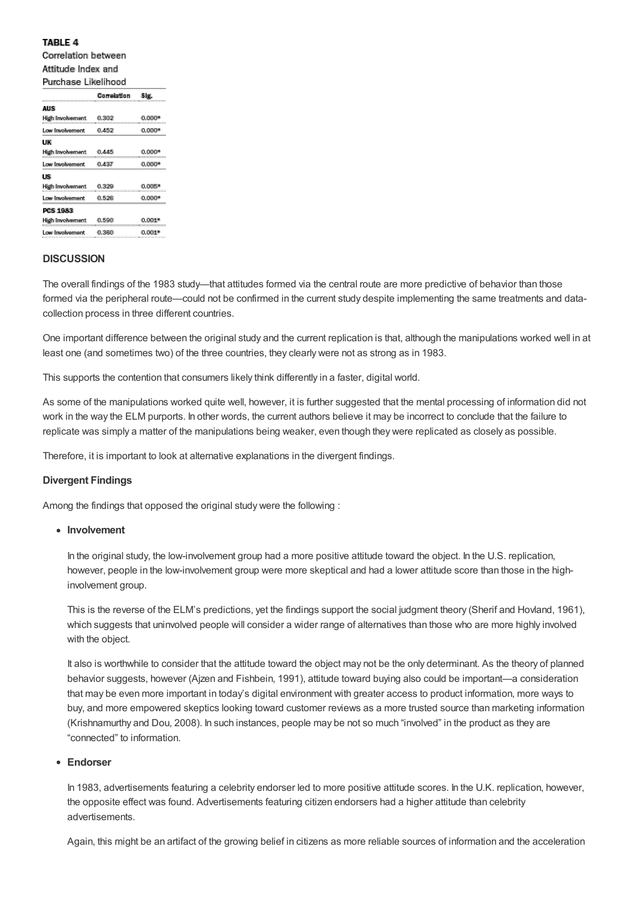### **TABLE 4**

Correlation between Attitude Index and Purchase Likelihood

|                   | Correlation | Sig.     |
|-------------------|-------------|----------|
| <b>AUS</b>        |             |          |
| High Involvement  | 0.302       | $0.000*$ |
| Low Involvement   | 0.452       | $0.000*$ |
| UK                |             |          |
| High Involvement  | 0.445       | 0.000    |
| Low Involvement   | 0.437       | $0.000*$ |
| US                |             |          |
| High Involvement. | 0.329       | 0.005    |
| I aw Involvement  | 0.526       | $0.000*$ |
| <b>PCS 1983</b>   |             |          |
| High Involvement  | 0.590       | 0.001    |
| Low Involvement   | 0,360       | 0.001    |
|                   |             |          |

#### **DISCUSSION**

The overall findings of the 1983 study—that attitudes formed via the central route are more predictive of behavior than those formed via the peripheral route—could not be confirmed in the current study despite implementing the same treatments and datacollection process in three different countries.

One important difference between the original study and the current replication is that, although the manipulations worked well in at least one (and sometimes two) of the three countries, they clearly were not as strong as in 1983.

This supports the contention that consumers likely think differently in a faster, digital world.

As some of the manipulations worked quite well, however, it is further suggested that the mental processing of information did not work in the way the ELM purports. In other words, the current authors believe it may be incorrect to conclude that the failure to replicate was simply a matter of the manipulations being weaker, even though they were replicated as closely as possible.

Therefore, it is important to look at alternative explanations in the divergent findings.

#### **Divergent Findings**

Among the findings that opposed the original study were the following :

#### **Involvement**

In the original study, the low-involvement group had a more positive attitude toward the object. In the U.S. replication, however, people in the low-involvement group were more skeptical and had a lower attitude score than those in the highinvolvement group.

This is the reverse of the ELM's predictions, yet the findings support the social judgment theory (Sherif and Hovland, 1961), which suggests that uninvolved people will consider a wider range of alternatives than those who are more highly involved with the object.

It also is worthwhile to consider that the attitude toward the object may not be the only determinant. As the theory of planned behavior suggests, however (Ajzen and Fishbein, 1991), attitude toward buying also could be important—a consideration that may be even more important in today's digital environment with greater access to product information, more ways to buy, and more empowered skeptics looking toward customer reviews as a more trusted source than marketing information (Krishnamurthy and Dou, 2008). In such instances, people may be not so much "involved" in the product as they are "connected" to information.

#### **Endorser**

In 1983, advertisements featuring a celebrity endorser led to more positive attitude scores. In the U.K. replication, however, the opposite effect was found. Advertisements featuring citizen endorsers had a higher attitude than celebrity advertisements.

Again, this might be an artifact of the growing belief in citizens as more reliable sources of information and the acceleration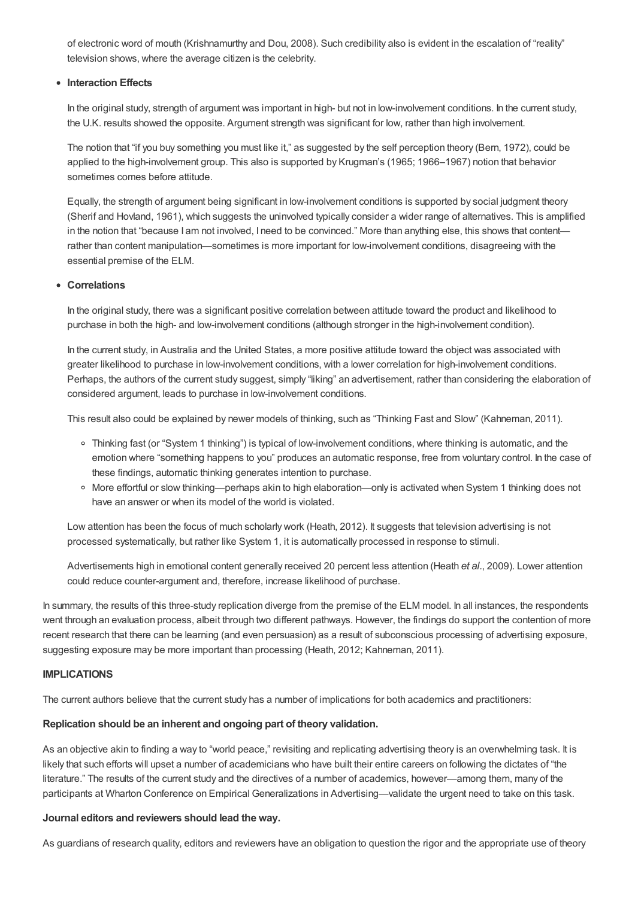of electronic word of mouth (Krishnamurthy and Dou, 2008). Such credibility also is evident in the escalation of "reality" television shows, where the average citizen is the celebrity.

#### **Interaction Effects**

In the original study, strength of argument was important in high- but not in low-involvement conditions. In the current study, the U.K. results showed the opposite. Argument strength was significant for low, rather than high involvement.

The notion that "if you buy something you must like it," as suggested by the self perception theory (Bern, 1972), could be applied to the high-involvement group. This also is supported by Krugman's (1965; 1966–1967) notion that behavior sometimes comes before attitude.

Equally, the strength of argument being significant in low-involvement conditions is supported by social judgment theory (Sherif and Hovland, 1961), which suggests the uninvolved typically consider a wider range of alternatives. This is amplified in the notion that "because I am not involved, I need to be convinced." More than anything else, this shows that content rather than content manipulation—sometimes is more important for low-involvement conditions, disagreeing with the essential premise of the ELM.

#### **Correlations**

In the original study, there was a significant positive correlation between attitude toward the product and likelihood to purchase in both the high- and low-involvement conditions (although stronger in the high-involvement condition).

In the current study, in Australia and the United States, a more positive attitude toward the object was associated with greater likelihood to purchase in low-involvement conditions, with a lower correlation for high-involvement conditions. Perhaps, the authors of the current study suggest, simply "liking" an advertisement, rather than considering the elaboration of considered argument, leads to purchase in low-involvement conditions.

This result also could be explained by newer models of thinking, such as "Thinking Fast and Slow" (Kahneman, 2011).

- Thinking fast (or "System 1 thinking") is typical of low-involvement conditions, where thinking is automatic, and the emotion where "something happens to you" produces an automatic response, free from voluntary control. In the case of these findings, automatic thinking generates intention to purchase.
- More effortful or slow thinking—perhaps akin to high elaboration—only is activated when System 1 thinking does not have an answer or when its model of the world is violated.

Low attention has been the focus of much scholarly work (Heath, 2012). It suggests that television advertising is not processed systematically, but rather like System 1, it is automatically processed in response to stimuli.

Advertisements high in emotional content generally received 20 percent less attention (Heath *et al.*, 2009). Lower attention could reduce counter-argument and, therefore, increase likelihood of purchase.

In summary, the results of this three-study replication diverge from the premise of the ELM model. In all instances, the respondents went through an evaluation process, albeit through two different pathways. However, the findings do support the contention of more recent research that there can be learning (and even persuasion) as a result of subconscious processing of advertising exposure, suggesting exposure may be more important than processing (Heath, 2012; Kahneman, 2011).

#### **IMPLICATIONS**

The current authors believe that the current study has a number of implications for both academics and practitioners:

#### **Replication should be an inherent and ongoing part of theory validation.**

As an objective akin to finding a way to "world peace," revisiting and replicating advertising theory is an overwhelming task. It is likely that such efforts will upset a number of academicians who have built their entire careers on following the dictates of "the literature." The results of the current study and the directives of a number of academics, however—among them, many of the participants at Wharton Conference on Empirical Generalizations in Advertising—validate the urgent need to take on this task.

#### **Journal editors and reviewers should lead the way.**

As guardians of research quality, editors and reviewers have an obligation to question the rigor and the appropriate use of theory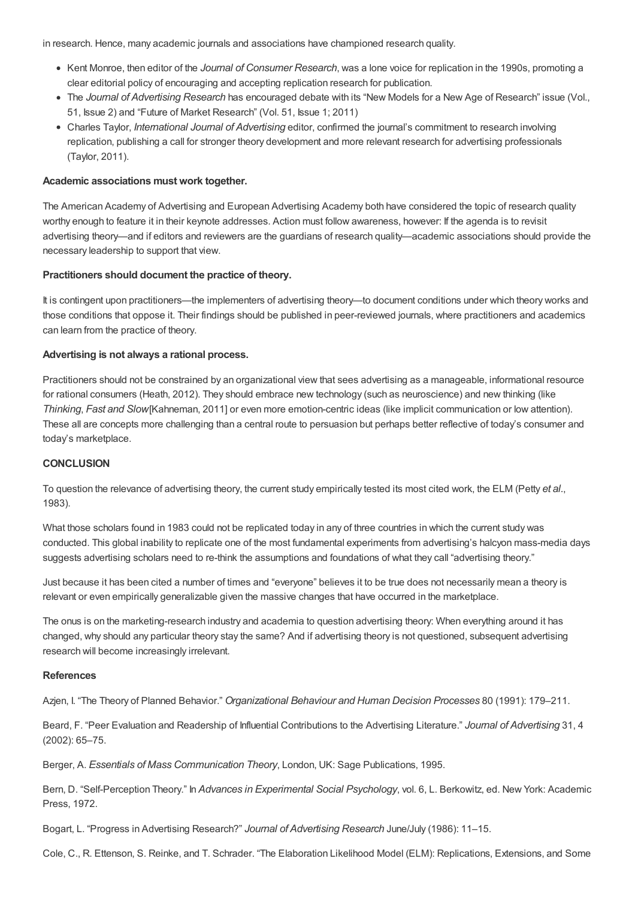in research. Hence, many academic journals and associations have championed research quality.

- Kent Monroe, then editor of the *Journal of Consumer Research*, was a lone voice for replication in the 1990s, promoting a clear editorial policy of encouraging and accepting replication research for publication.
- The *Journal of Advertising Research* has encouraged debate with its "New Models for a New Age of Research" issue (Vol., 51, Issue 2) and "Future of Market Research" (Vol. 51, Issue 1; 2011)
- Charles Taylor, *International Journal of Advertising* editor, confirmed the journal's commitment to research involving replication, publishing a call for stronger theory development and more relevant research for advertising professionals (Taylor, 2011).

# **Academic associations must work together.**

The American Academy of Advertising and European Advertising Academy both have considered the topic of research quality worthy enough to feature it in their keynote addresses. Action must follow awareness, however: If the agenda is to revisit advertising theory—and if editors and reviewers are the guardians of research quality—academic associations should provide the necessary leadership to support that view.

## **Practitioners should document the practice of theory.**

It is contingent upon practitioners—the implementers of advertising theory—to document conditions under which theory works and those conditions that oppose it. Their findings should be published in peer-reviewed journals, where practitioners and academics can learn from the practice of theory.

## **Advertising is not always a rational process.**

Practitioners should not be constrained by an organizational view that sees advertising as a manageable, informational resource for rational consumers (Heath, 2012). They should embrace new technology (such as neuroscience) and new thinking (like *Thinking*, *Fast and Slow*[Kahneman, 2011] or even more emotion-centric ideas (like implicit communication or low attention). These all are concepts more challenging than a central route to persuasion but perhaps better reflective of today's consumer and today's marketplace.

#### **CONCLUSION**

To question the relevance of advertising theory, the current study empirically tested its most cited work, the ELM (Petty *et al.*, 1983).

What those scholars found in 1983 could not be replicated today in any of three countries in which the current study was conducted. This global inability to replicate one of the most fundamental experiments from advertising's halcyon mass-media days suggests advertising scholars need to re-think the assumptions and foundations of what they call "advertising theory."

Just because it has been cited a number of times and "everyone" believes it to be true does not necessarily mean a theory is relevant or even empirically generalizable given the massive changes that have occurred in the marketplace.

The onus is on the marketing-research industry and academia to question advertising theory: When everything around it has changed, why should any particular theory stay the same? And if advertising theory is not questioned, subsequent advertising research will become increasingly irrelevant.

#### **References**

Azjen, I. "The Theory of Planned Behavior." *Organizational Behaviour and Human Decision Processes* 80 (1991): 179–211.

Beard, F. "Peer Evaluation and Readership of Influential Contributions to the Advertising Literature." *Journal of Advertising* 31, 4 (2002): 65–75.

Berger, A. *Essentials of Mass Communication Theory*, London, UK: Sage Publications, 1995.

Bern, D. "Self-Perception Theory." In *Advances in Experimental Social Psychology*, vol. 6, L. Berkowitz, ed. New York: Academic Press, 1972.

Bogart, L. "Progress in Advertising Research?" *Journal of Advertising Research* June/July (1986): 11–15.

Cole, C., R. Ettenson, S. Reinke, and T. Schrader. "The Elaboration Likelihood Model (ELM): Replications, Extensions, and Some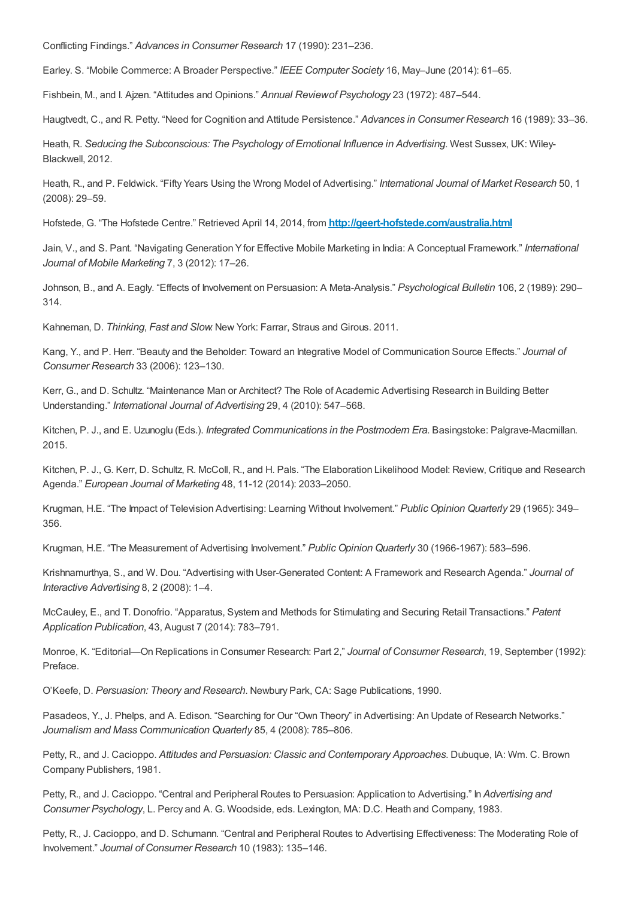Conflicting Findings." *Advances in Consumer Research* 17 (1990): 231–236.

Earley. S. "Mobile Commerce: A Broader Perspective." *IEEE Computer Society* 16, May–June (2014): 61–65.

Fishbein, M., and I. Ajzen. "Attitudes and Opinions." *Annual Reviewof Psychology* 23 (1972): 487–544.

Haugtvedt, C., and R. Petty. "Need for Cognition and Attitude Persistence." *Advances in Consumer Research* 16 (1989): 33–36.

Heath, R. *Seducing the Subconscious: The Psychology of Emotional Influence in Advertising*. West Sussex, UK: Wiley-Blackwell, 2012.

Heath, R., and P. Feldwick. "Fifty Years Using the Wrong Model of Advertising." *International Journal of Market Research* 50, 1 (2008): 29–59.

Hofstede, G. "The Hofstede Centre." Retrieved April 14, 2014, from **<http://geert-hofstede.com/australia.html>**

Jain, V., and S. Pant. "Navigating Generation Yfor Effective Mobile Marketing in India: A Conceptual Framework." *International Journal of Mobile Marketing* 7, 3 (2012): 17–26.

Johnson, B., and A. Eagly. "Effects of Involvement on Persuasion: A Meta-Analysis." *Psychological Bulletin* 106, 2 (1989): 290– 314.

Kahneman, D. *Thinking*, *Fast and Slow*. New York: Farrar, Straus and Girous. 2011.

Kang, Y., and P. Herr. "Beauty and the Beholder: Toward an Integrative Model of Communication Source Effects." *Journal of Consumer Research* 33 (2006): 123–130.

Kerr, G., and D. Schultz. "Maintenance Man or Architect? The Role of Academic Advertising Research in Building Better Understanding." *International Journal of Advertising* 29, 4 (2010): 547–568.

Kitchen, P. J., and E. Uzunoglu (Eds.). *Integrated Communications in the Postmodern Era*. Basingstoke: Palgrave-Macmillan. 2015.

Kitchen, P. J., G. Kerr, D. Schultz, R. McColl, R., and H. Pals. "The Elaboration Likelihood Model: Review, Critique and Research Agenda." *European Journal of Marketing* 48, 11-12 (2014): 2033–2050.

Krugman, H.E. "The Impact of Television Advertising: Learning Without Involvement." *Public Opinion Quarterly* 29 (1965): 349– 356.

Krugman, H.E. "The Measurement of Advertising Involvement." *Public Opinion Quarterly* 30 (1966-1967): 583–596.

Krishnamurthya, S., and W. Dou. "Advertising with User-Generated Content: A Framework and Research Agenda." *Journal of Interactive Advertising* 8, 2 (2008): 1–4.

McCauley, E., and T. Donofrio. "Apparatus, System and Methods for Stimulating and Securing Retail Transactions." *Patent Application Publication*, 43, August 7 (2014): 783–791.

Monroe, K. "Editorial—On Replications in Consumer Research: Part 2," *Journal of Consumer Research*, 19, September (1992): Preface.

O'Keefe, D. *Persuasion: Theory and Research*. Newbury Park, CA: Sage Publications, 1990.

Pasadeos, Y., J. Phelps, and A. Edison. "Searching for Our "Own Theory" in Advertising: An Update of Research Networks." *Journalism and Mass Communication Quarterly* 85, 4 (2008): 785–806.

Petty, R., and J. Cacioppo. *Attitudes and Persuasion: Classic and Contemporary Approaches*. Dubuque, IA: Wm. C. Brown Company Publishers, 1981.

Petty, R., and J. Cacioppo. "Central and Peripheral Routes to Persuasion: Application to Advertising." In *Advertising and Consumer Psychology*, L. Percy and A. G. Woodside, eds. Lexington, MA: D.C. Heath and Company, 1983.

Petty, R., J. Cacioppo, and D. Schumann. "Central and Peripheral Routes to Advertising Effectiveness: The Moderating Role of Involvement." *Journal of Consumer Research* 10 (1983): 135–146.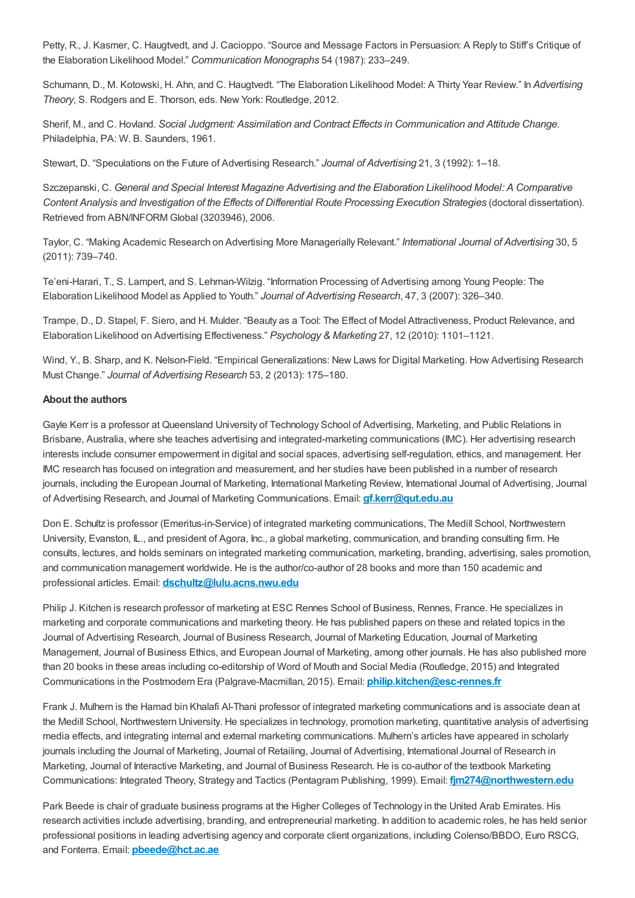Petty, R., J. Kasmer, C. Haugtvedt, and J. Cacioppo. "Source and Message Factors in Persuasion: A Reply to Stiff's Critique of the Elaboration Likelihood Model." *Communication Monographs* 54 (1987): 233–249.

Schumann, D., M. Kotowski, H. Ahn, and C. Haugtvedt. "The Elaboration Likelihood Model: A Thirty Year Review." In *Advertising Theory*, S. Rodgers and E. Thorson, eds. New York: Routledge, 2012.

Sherif, M., and C. Hovland. *Social Judgment: Assimilation and Contract Effects in Communication and Attitude Change*. Philadelphia, PA: W. B. Saunders, 1961.

Stewart, D. "Speculations on the Future of Advertising Research." *Journal of Advertising* 21, 3 (1992): 1–18.

Szczepanski, C. *General and Special Interest Magazine Advertising and the Elaboration Likelihood Model: A Comparative Content Analysis and Investigation of the Effects of Differential Route Processing Execution Strategies* (doctoral dissertation). Retrieved from ABN/INFORM Global (3203946), 2006.

Taylor, C. "Making Academic Research on Advertising More Managerially Relevant." *International Journal of Advertising* 30, 5 (2011): 739–740.

Te'eni-Harari, T., S. Lampert, and S. Lehman-Wilzig. "Information Processing of Advertising among Young People: The Elaboration Likelihood Model as Applied to Youth." *Journal of Advertising Research*, 47, 3 (2007): 326–340.

Trampe, D., D. Stapel, F. Siero, and H. Mulder. "Beauty as a Tool: The Effect of Model Attractiveness, Product Relevance, and Elaboration Likelihood on Advertising Effectiveness." *Psychology & Marketing* 27, 12 (2010): 1101–1121.

Wind, Y., B. Sharp, and K. Nelson-Field. "Empirical Generalizations: New Laws for Digital Marketing. How Advertising Research Must Change." *Journal of Advertising Research* 53, 2 (2013): 175–180.

## **About the authors**

<span id="page-11-0"></span>Gayle Kerr is a professor at Queensland University of Technology School of Advertising, Marketing, and Public Relations in Brisbane, Australia, where she teaches advertising and integrated-marketing communications (IMC). Her advertising research interests include consumer empowerment in digital and social spaces, advertising self-regulation, ethics, and management. Her IMC research has focused on integration and measurement, and her studies have been published in a number of research journals, including the European Journal of Marketing, International Marketing Review, International Journal of Advertising, Journal of Advertising Research, and Journal of Marketing Communications. Email: **[gf.kerr@qut.edu.au](mailto: gf.kerr@qut.edu.au)**

<span id="page-11-1"></span>Don E. Schultz is professor (Emeritus-in-Service) of integrated marketing communications, The Medill School, Northwestern University, Evanston, IL., and president of Agora, Inc., a global marketing, communication, and branding consulting firm. He consults, lectures, and holds seminars on integrated marketing communication, marketing, branding, advertising, sales promotion, and communication management worldwide. He is the author/co-author of 28 books and more than 150 academic and professional articles. Email: **[dschultz@lulu.acns.nwu.edu](mailto: dschultz@lulu.acns.nwu.edu)**

<span id="page-11-2"></span>Philip J. Kitchen is research professor of marketing at ESC Rennes School of Business, Rennes, France. He specializes in marketing and corporate communications and marketing theory. He has published papers on these and related topics in the Journal of Advertising Research, Journal of Business Research, Journal of Marketing Education, Journal of Marketing Management, Journal of Business Ethics, and European Journal of Marketing, among other journals. He has also published more than 20 books in these areas including co-editorship of Word of Mouth and Social Media (Routledge, 2015) and Integrated Communications in the Postmodern Era (Palgrave-Macmillan, 2015). Email: **[philip.kitchen@esc-rennes.fr](mailto: philip.kitchen@esc-rennes.fr)**

<span id="page-11-3"></span>Frank J. Mulhern is the Hamad bin Khalafi Al-Thani professor of integrated marketing communications and is associate dean at the Medill School, Northwestern University. He specializes in technology, promotion marketing, quantitative analysis of advertising media effects, and integrating internal and external marketing communications. Mulhern's articles have appeared in scholarly journals including the Journal of Marketing, Journal of Retailing, Journal of Advertising, International Journal of Research in Marketing, Journal of Interactive Marketing, and Journal of Business Research. He is co-author of the textbook Marketing Communications: Integrated Theory, Strategy and Tactics (Pentagram Publishing, 1999). Email: **[fjm274@northwestern.edu](mailto: fjm274@northwestern.edu)**

<span id="page-11-4"></span>Park Beede is chair of graduate business programs at the Higher Colleges of Technology in the United Arab Emirates. His research activities include advertising, branding, and entrepreneurial marketing. In addition to academic roles, he has held senior professional positions in leading advertising agency and corporate client organizations, including Colenso/BBDO, Euro RSCG, and Fonterra. Email: **[pbeede@hct.ac.ae](mailto: pbeede@hct.ac.ae)**